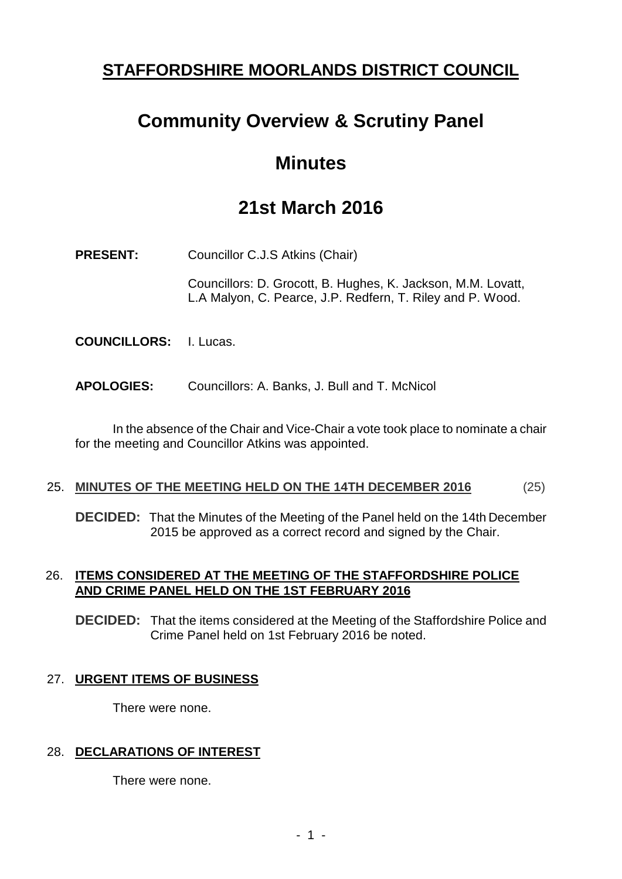## **STAFFORDSHIRE MOORLANDS DISTRICT COUNCIL**

# **Community Overview & Scrutiny Panel**

## **Minutes**

# **21st March 2016**

**PRESENT:** Councillor C.J.S Atkins (Chair)

Councillors: D. Grocott, B. Hughes, K. Jackson, M.M. Lovatt, L.A Malyon, C. Pearce, J.P. Redfern, T. Riley and P. Wood.

- **COUNCILLORS:** I. Lucas.
- **APOLOGIES:** Councillors: A. Banks, J. Bull and T. McNicol

In the absence of the Chair and Vice-Chair a vote took place to nominate a chair for the meeting and Councillor Atkins was appointed.

#### 25. **MINUTES OF THE MEETING HELD ON THE 14TH DECEMBER 2016** (25)

**DECIDED:** That the Minutes of the Meeting of the Panel held on the 14th December 2015 be approved as a correct record and signed by the Chair.

## 26. **ITEMS CONSIDERED AT THE MEETING OF THE STAFFORDSHIRE POLICE AND CRIME PANEL HELD ON THE 1ST FEBRUARY 2016**

**DECIDED:** That the items considered at the Meeting of the Staffordshire Police and Crime Panel held on 1st February 2016 be noted.

## 27. **URGENT ITEMS OF BUSINESS**

There were none.

## 28. **DECLARATIONS OF INTEREST**

There were none.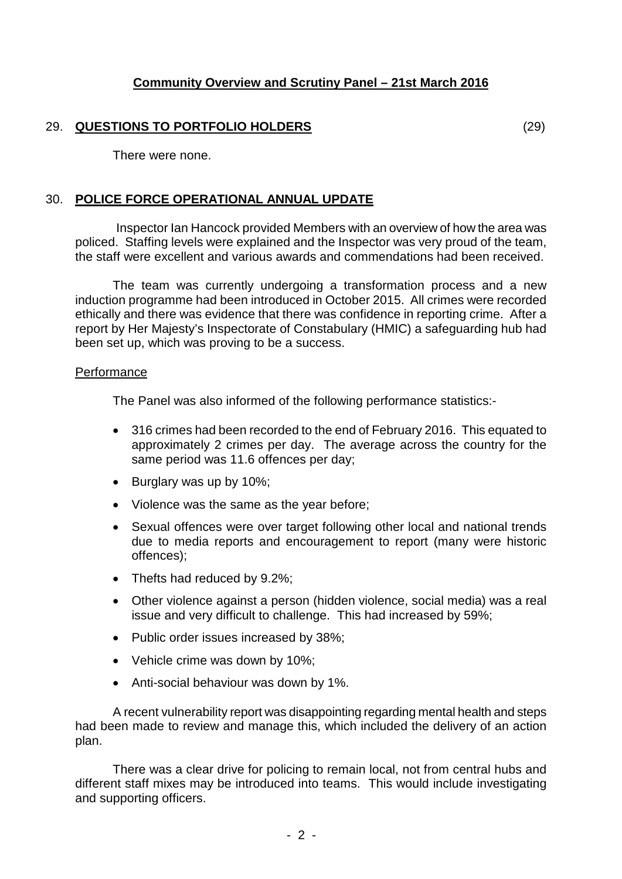#### 29. **QUESTIONS TO PORTFOLIO HOLDERS** (29)

There were none.

#### 30. **POLICE FORCE OPERATIONAL ANNUAL UPDATE**

Inspector Ian Hancock provided Members with an overview of how the area was policed. Staffing levels were explained and the Inspector was very proud of the team, the staff were excellent and various awards and commendations had been received.

The team was currently undergoing a transformation process and a new induction programme had been introduced in October 2015. All crimes were recorded ethically and there was evidence that there was confidence in reporting crime. After a report by Her Majesty's Inspectorate of Constabulary (HMIC) a safeguarding hub had been set up, which was proving to be a success.

#### **Performance**

The Panel was also informed of the following performance statistics:-

- 316 crimes had been recorded to the end of February 2016. This equated to approximately 2 crimes per day. The average across the country for the same period was 11.6 offences per day;
- Burglary was up by 10%;
- Violence was the same as the year before;
- Sexual offences were over target following other local and national trends due to media reports and encouragement to report (many were historic offences);
- Thefts had reduced by 9.2%;
- Other violence against a person (hidden violence, social media) was a real issue and very difficult to challenge. This had increased by 59%;
- Public order issues increased by 38%;
- Vehicle crime was down by 10%;
- Anti-social behaviour was down by 1%.

A recent vulnerability report was disappointing regarding mental health and steps had been made to review and manage this, which included the delivery of an action plan.

There was a clear drive for policing to remain local, not from central hubs and different staff mixes may be introduced into teams. This would include investigating and supporting officers.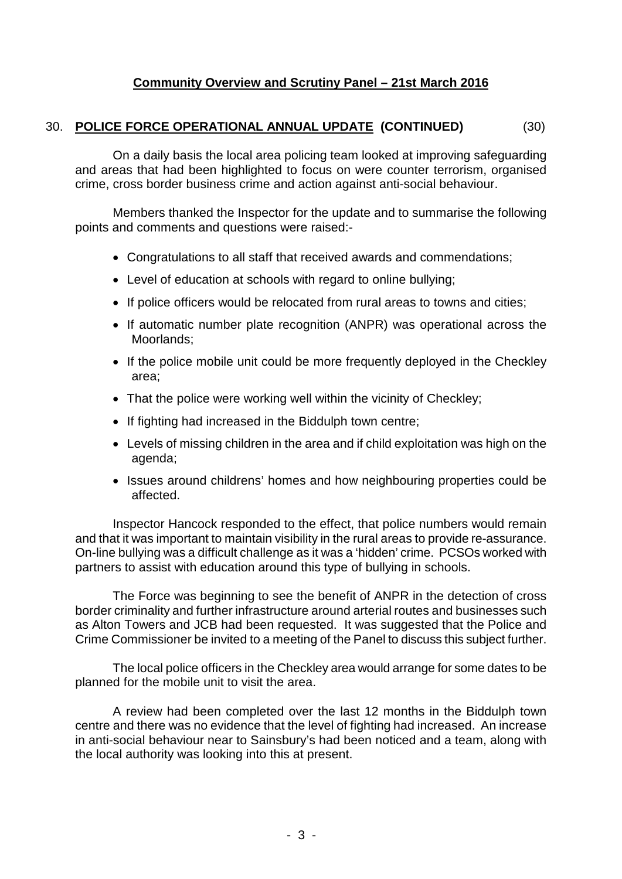### 30. **POLICE FORCE OPERATIONAL ANNUAL UPDATE (CONTINUED)** (30)

On a daily basis the local area policing team looked at improving safeguarding and areas that had been highlighted to focus on were counter terrorism, organised crime, cross border business crime and action against anti-social behaviour.

Members thanked the Inspector for the update and to summarise the following points and comments and questions were raised:-

- Congratulations to all staff that received awards and commendations;
- Level of education at schools with regard to online bullying;
- If police officers would be relocated from rural areas to towns and cities;
- If automatic number plate recognition (ANPR) was operational across the Moorlands;
- If the police mobile unit could be more frequently deployed in the Checkley area;
- That the police were working well within the vicinity of Checkley;
- If fighting had increased in the Biddulph town centre;
- Levels of missing children in the area and if child exploitation was high on the agenda;
- Issues around childrens' homes and how neighbouring properties could be affected.

Inspector Hancock responded to the effect, that police numbers would remain and that it was important to maintain visibility in the rural areas to provide re-assurance. On-line bullying was a difficult challenge as it was a 'hidden' crime. PCSOs worked with partners to assist with education around this type of bullying in schools.

The Force was beginning to see the benefit of ANPR in the detection of cross border criminality and further infrastructure around arterial routes and businesses such as Alton Towers and JCB had been requested. It was suggested that the Police and Crime Commissioner be invited to a meeting of the Panel to discuss this subject further.

The local police officers in the Checkley area would arrange for some dates to be planned for the mobile unit to visit the area.

A review had been completed over the last 12 months in the Biddulph town centre and there was no evidence that the level of fighting had increased. An increase in anti-social behaviour near to Sainsbury's had been noticed and a team, along with the local authority was looking into this at present.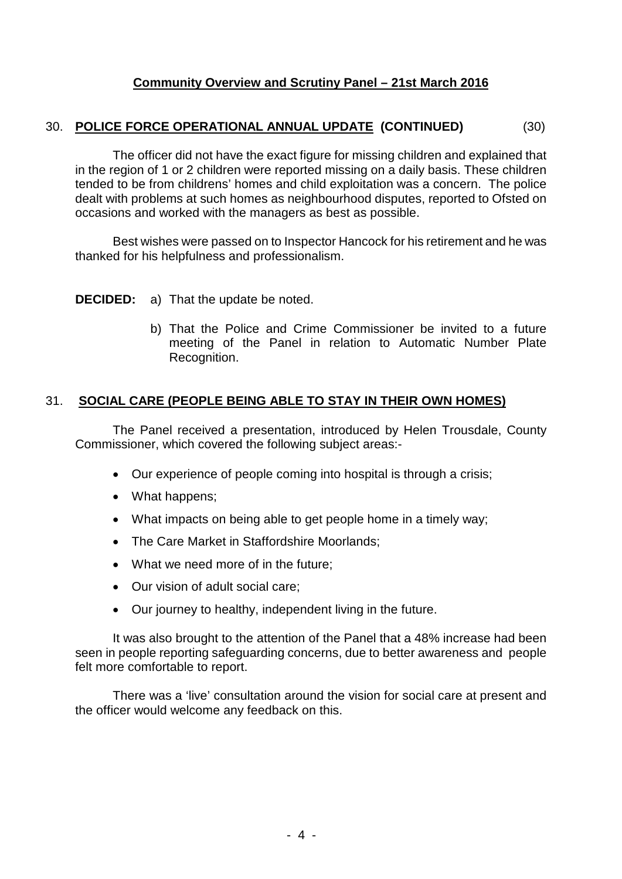## 30. **POLICE FORCE OPERATIONAL ANNUAL UPDATE (CONTINUED)** (30)

The officer did not have the exact figure for missing children and explained that in the region of 1 or 2 children were reported missing on a daily basis. These children tended to be from childrens' homes and child exploitation was a concern. The police dealt with problems at such homes as neighbourhood disputes, reported to Ofsted on occasions and worked with the managers as best as possible.

Best wishes were passed on to Inspector Hancock for his retirement and he was thanked for his helpfulness and professionalism.

#### **DECIDED:** a) That the update be noted.

b) That the Police and Crime Commissioner be invited to a future meeting of the Panel in relation to Automatic Number Plate Recognition.

#### 31. **SOCIAL CARE (PEOPLE BEING ABLE TO STAY IN THEIR OWN HOMES)**

The Panel received a presentation, introduced by Helen Trousdale, County Commissioner, which covered the following subject areas:-

- Our experience of people coming into hospital is through a crisis;
- What happens;
- What impacts on being able to get people home in a timely way;
- The Care Market in Staffordshire Moorlands;
- What we need more of in the future;
- Our vision of adult social care;
- Our journey to healthy, independent living in the future.

It was also brought to the attention of the Panel that a 48% increase had been seen in people reporting safeguarding concerns, due to better awareness and people felt more comfortable to report.

There was a 'live' consultation around the vision for social care at present and the officer would welcome any feedback on this.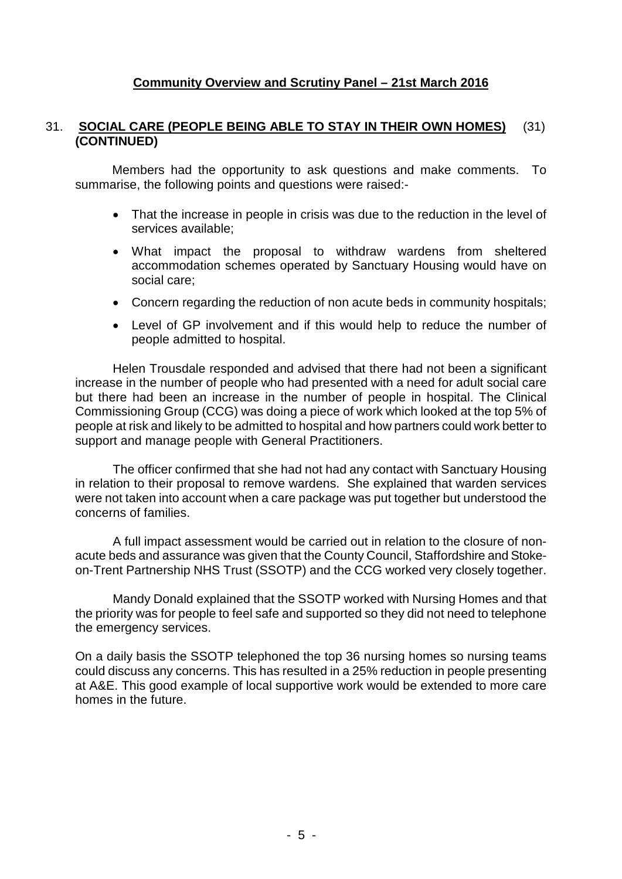#### 31. **SOCIAL CARE (PEOPLE BEING ABLE TO STAY IN THEIR OWN HOMES)** (31) **(CONTINUED)**

Members had the opportunity to ask questions and make comments. To summarise, the following points and questions were raised:-

- That the increase in people in crisis was due to the reduction in the level of services available;
- What impact the proposal to withdraw wardens from sheltered accommodation schemes operated by Sanctuary Housing would have on social care;
- Concern regarding the reduction of non acute beds in community hospitals;
- Level of GP involvement and if this would help to reduce the number of people admitted to hospital.

Helen Trousdale responded and advised that there had not been a significant increase in the number of people who had presented with a need for adult social care but there had been an increase in the number of people in hospital. The Clinical Commissioning Group (CCG) was doing a piece of work which looked at the top 5% of people at risk and likely to be admitted to hospital and how partners could work better to support and manage people with General Practitioners.

The officer confirmed that she had not had any contact with Sanctuary Housing in relation to their proposal to remove wardens. She explained that warden services were not taken into account when a care package was put together but understood the concerns of families.

A full impact assessment would be carried out in relation to the closure of nonacute beds and assurance was given that the County Council, Staffordshire and Stokeon-Trent Partnership NHS Trust (SSOTP) and the CCG worked very closely together.

Mandy Donald explained that the SSOTP worked with Nursing Homes and that the priority was for people to feel safe and supported so they did not need to telephone the emergency services.

On a daily basis the SSOTP telephoned the top 36 nursing homes so nursing teams could discuss any concerns. This has resulted in a 25% reduction in people presenting at A&E. This good example of local supportive work would be extended to more care homes in the future.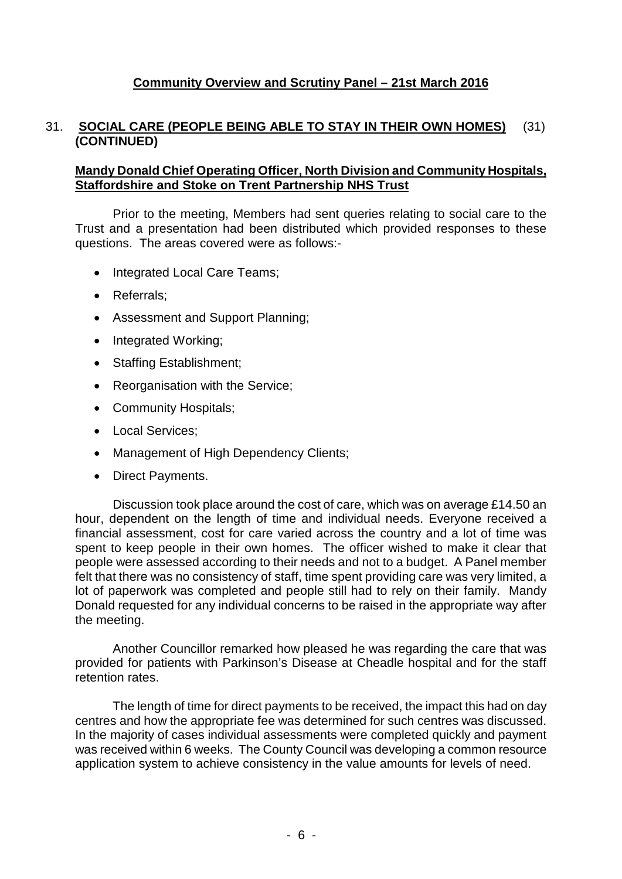#### 31. **SOCIAL CARE (PEOPLE BEING ABLE TO STAY IN THEIR OWN HOMES)** (31) **(CONTINUED)**

#### **Mandy Donald Chief Operating Officer, North Division and Community Hospitals, Staffordshire and Stoke on Trent Partnership NHS Trust**

Prior to the meeting, Members had sent queries relating to social care to the Trust and a presentation had been distributed which provided responses to these questions. The areas covered were as follows:-

- Integrated Local Care Teams;
- Referrals;
- Assessment and Support Planning;
- Integrated Working:
- Staffing Establishment;
- Reorganisation with the Service;
- Community Hospitals;
- Local Services;
- Management of High Dependency Clients;
- Direct Payments.

Discussion took place around the cost of care, which was on average £14.50 an hour, dependent on the length of time and individual needs. Everyone received a financial assessment, cost for care varied across the country and a lot of time was spent to keep people in their own homes. The officer wished to make it clear that people were assessed according to their needs and not to a budget. A Panel member felt that there was no consistency of staff, time spent providing care was very limited, a lot of paperwork was completed and people still had to rely on their family. Mandy Donald requested for any individual concerns to be raised in the appropriate way after the meeting.

Another Councillor remarked how pleased he was regarding the care that was provided for patients with Parkinson's Disease at Cheadle hospital and for the staff retention rates.

The length of time for direct payments to be received, the impact this had on day centres and how the appropriate fee was determined for such centres was discussed. In the majority of cases individual assessments were completed quickly and payment was received within 6 weeks. The County Council was developing a common resource application system to achieve consistency in the value amounts for levels of need.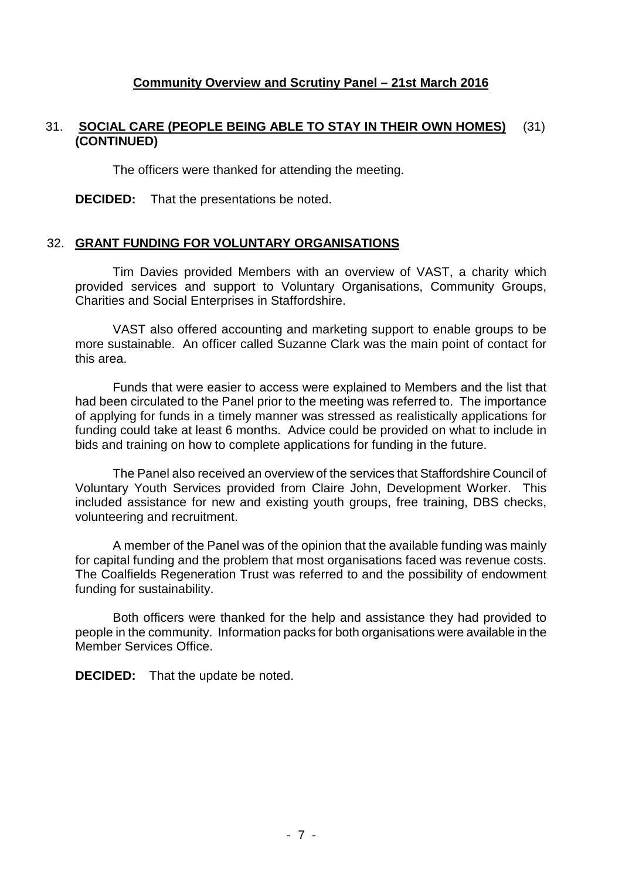#### 31. **SOCIAL CARE (PEOPLE BEING ABLE TO STAY IN THEIR OWN HOMES)** (31) **(CONTINUED)**

The officers were thanked for attending the meeting.

**DECIDED:** That the presentations be noted.

#### 32. **GRANT FUNDING FOR VOLUNTARY ORGANISATIONS**

Tim Davies provided Members with an overview of VAST, a charity which provided services and support to Voluntary Organisations, Community Groups, Charities and Social Enterprises in Staffordshire.

VAST also offered accounting and marketing support to enable groups to be more sustainable. An officer called Suzanne Clark was the main point of contact for this area.

Funds that were easier to access were explained to Members and the list that had been circulated to the Panel prior to the meeting was referred to. The importance of applying for funds in a timely manner was stressed as realistically applications for funding could take at least 6 months. Advice could be provided on what to include in bids and training on how to complete applications for funding in the future.

The Panel also received an overview of the services that Staffordshire Council of Voluntary Youth Services provided from Claire John, Development Worker. This included assistance for new and existing youth groups, free training, DBS checks, volunteering and recruitment.

A member of the Panel was of the opinion that the available funding was mainly for capital funding and the problem that most organisations faced was revenue costs. The Coalfields Regeneration Trust was referred to and the possibility of endowment funding for sustainability.

Both officers were thanked for the help and assistance they had provided to people in the community. Information packs for both organisations were available in the Member Services Office.

**DECIDED:** That the update be noted.